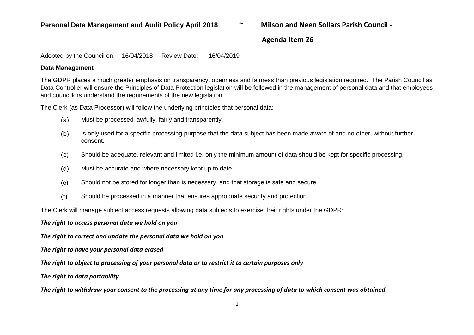### **Agenda Item 26**

Adopted by the Council on: 16/04/2018 Review Date: 16/04/2019

#### **Data Management**

The GDPR places a much greater emphasis on transparency, openness and fairness than previous legislation required. The Parish Council as Data Controller will ensure the Principles of Data Protection legislation will be followed in the management of personal data and that employees and councillors understand the requirements of the new legislation.

The Clerk (as Data Processor) will follow the underlying principles that personal data:

- $(a)$ Must be processed lawfully, fairly and transparently.
- $(b)$ Is only used for a specific processing purpose that the data subject has been made aware of and no other, without further consent.
- $(c)$ Should be adequate, relevant and limited i.e. only the minimum amount of data should be kept for specific processing.
- $(d)$ Must be accurate and where necessary kept up to date.
- Should not be stored for longer than is necessary, and that storage is safe and secure.  $(e)$
- $(f)$ Should be processed in a manner that ensures appropriate security and protection.

The Clerk will manage subject access requests allowing data subjects to exercise their rights under the GDPR:

*The right to access personal data we hold on you*

*The right to correct and update the personal data we hold on you*

*The right to have your personal data erased*

*The right to object to processing of your personal data or to restrict it to certain purposes only*

*The right to data portability*

*The right to withdraw your consent to the processing at any time for any processing of data to which consent was obtained*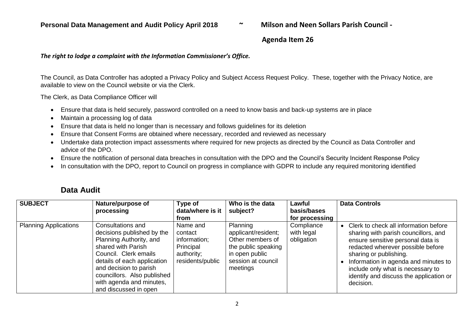### **Agenda Item 26**

#### *The right to lodge a complaint with the Information Commissioner's Office.*

The Council, as Data Controller has adopted a Privacy Policy and Subject Access Request Policy. These, together with the Privacy Notice, are available to view on the Council website or via the Clerk.

The Clerk, as Data Compliance Officer will

- Ensure that data is held securely, password controlled on a need to know basis and back-up systems are in place
- Maintain a processing log of data
- Ensure that data is held no longer than is necessary and follows guidelines for its deletion
- Ensure that Consent Forms are obtained where necessary, recorded and reviewed as necessary
- Undertake data protection impact assessments where required for new projects as directed by the Council as Data Controller and advice of the DPO.
- Ensure the notification of personal data breaches in consultation with the DPO and the Council's Security Incident Response Policy
- In consultation with the DPO, report to Council on progress in compliance with GDPR to include any required monitoring identified

| <b>SUBJECT</b>               | Nature/purpose of<br>processing                                                                                                                                                                                                                                        | Type of<br>data/where is it<br>from                                                | Who is the data<br>subject?                                                                                                    | Lawful<br>basis/bases<br>for processing | <b>Data Controls</b>                                                                                                                                                                                                                                                                                                   |
|------------------------------|------------------------------------------------------------------------------------------------------------------------------------------------------------------------------------------------------------------------------------------------------------------------|------------------------------------------------------------------------------------|--------------------------------------------------------------------------------------------------------------------------------|-----------------------------------------|------------------------------------------------------------------------------------------------------------------------------------------------------------------------------------------------------------------------------------------------------------------------------------------------------------------------|
| <b>Planning Applications</b> | Consultations and<br>decisions published by the<br>Planning Authority, and<br>shared with Parish<br>Council. Clerk emails<br>details of each application<br>and decision to parish<br>councillors. Also published<br>with agenda and minutes,<br>and discussed in open | Name and<br>contact<br>information;<br>Principal<br>authority;<br>residents/public | Planning<br>applicant/resident;<br>Other members of<br>the public speaking<br>in open public<br>session at council<br>meetings | Compliance<br>with legal<br>obligation  | Clerk to check all information before<br>sharing with parish councillors, and<br>ensure sensitive personal data is<br>redacted wherever possible before<br>sharing or publishing.<br>Information in agenda and minutes to<br>include only what is necessary to<br>identify and discuss the application or<br>decision. |

## **Data Audit**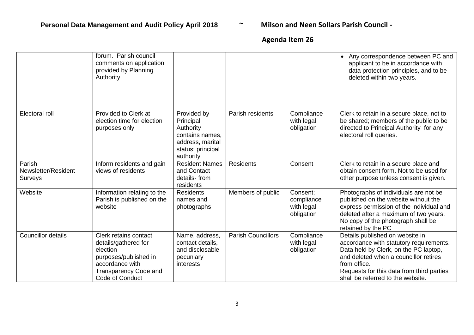# **Agenda Item 26**

|                                          | forum. Parish council<br>comments on application<br>provided by Planning<br>Authority                                                                    |                                                                                                                |                           |                                                    | Any correspondence between PC and<br>$\bullet$<br>applicant to be in accordance with<br>data protection principles, and to be<br>deleted within two years.                                                                                                     |
|------------------------------------------|----------------------------------------------------------------------------------------------------------------------------------------------------------|----------------------------------------------------------------------------------------------------------------|---------------------------|----------------------------------------------------|----------------------------------------------------------------------------------------------------------------------------------------------------------------------------------------------------------------------------------------------------------------|
| Electoral roll                           | Provided to Clerk at<br>election time for election<br>purposes only                                                                                      | Provided by<br>Principal<br>Authority<br>contains names,<br>address, marital<br>status; principal<br>authority | Parish residents          | Compliance<br>with legal<br>obligation             | Clerk to retain in a secure place, not to<br>be shared; members of the public to be<br>directed to Principal Authority for any<br>electoral roll queries.                                                                                                      |
| Parish<br>Newsletter/Resident<br>Surveys | Inform residents and gain<br>views of residents                                                                                                          | <b>Resident Names</b><br>and Contact<br>details-from<br>residents                                              | <b>Residents</b>          | Consent                                            | Clerk to retain in a secure place and<br>obtain consent form. Not to be used for<br>other purpose unless consent is given.                                                                                                                                     |
| Website                                  | Information relating to the<br>Parish is published on the<br>website                                                                                     | <b>Residents</b><br>names and<br>photographs                                                                   | Members of public         | Consent:<br>compliance<br>with legal<br>obligation | Photographs of individuals are not be<br>published on the website without the<br>express permission of the individual and<br>deleted after a maximum of two years.<br>No copy of the photograph shall be<br>retained by the PC                                 |
| <b>Councillor details</b>                | Clerk retains contact<br>details/gathered for<br>election<br>purposes/published in<br>accordance with<br><b>Transparency Code and</b><br>Code of Conduct | Name, address,<br>contact details,<br>and disclosable<br>pecuniary<br>interests                                | <b>Parish Councillors</b> | Compliance<br>with legal<br>obligation             | Details published on website in<br>accordance with statutory requirements.<br>Data held by Clerk, on the PC laptop,<br>and deleted when a councillor retires<br>from office.<br>Requests for this data from third parties<br>shall be referred to the website. |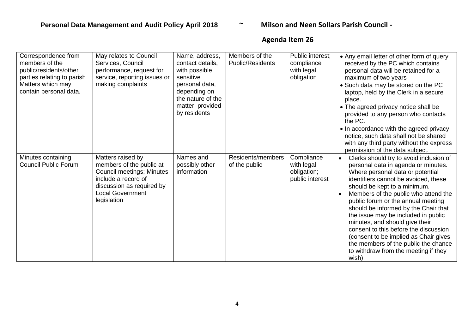# **Agenda Item 26**

| Correspondence from<br>members of the<br>public/residents/other<br>parties relating to parish<br>Matters which may<br>contain personal data. | May relates to Council<br>Services, Council<br>performance, request for<br>service, reporting issues or<br>making complaints                                                    | Name, address,<br>contact details,<br>with possible<br>sensitive<br>personal data,<br>depending on<br>the nature of the<br>matter; provided<br>by residents | Members of the<br>Public/Residents | Public interest;<br>compliance<br>with legal<br>obligation | • Any email letter of other form of query<br>received by the PC which contains<br>personal data will be retained for a<br>maximum of two years<br>• Such data may be stored on the PC<br>laptop, held by the Clerk in a secure<br>place.<br>• The agreed privacy notice shall be<br>provided to any person who contacts<br>the PC.<br>• In accordance with the agreed privacy<br>notice, such data shall not be shared<br>with any third party without the express<br>permission of the data subject.                                                                 |
|----------------------------------------------------------------------------------------------------------------------------------------------|---------------------------------------------------------------------------------------------------------------------------------------------------------------------------------|-------------------------------------------------------------------------------------------------------------------------------------------------------------|------------------------------------|------------------------------------------------------------|-----------------------------------------------------------------------------------------------------------------------------------------------------------------------------------------------------------------------------------------------------------------------------------------------------------------------------------------------------------------------------------------------------------------------------------------------------------------------------------------------------------------------------------------------------------------------|
| Minutes containing<br><b>Council Public Forum</b>                                                                                            | Matters raised by<br>members of the public at<br><b>Council meetings; Minutes</b><br>include a record of<br>discussion as required by<br><b>Local Government</b><br>legislation | Names and<br>possibly other<br>information                                                                                                                  | Residents/members<br>of the public | Compliance<br>with legal<br>obligation;<br>public interest | Clerks should try to avoid inclusion of<br>personal data in agenda or minutes.<br>Where personal data or potential<br>identifiers cannot be avoided, these<br>should be kept to a minimum.<br>Members of the public who attend the<br>public forum or the annual meeting<br>should be informed by the Chair that<br>the issue may be included in public<br>minutes, and should give their<br>consent to this before the discussion<br>(consent to be implied as Chair gives<br>the members of the public the chance<br>to withdraw from the meeting if they<br>wish). |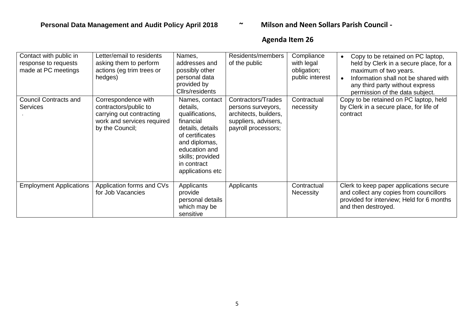# **Agenda Item 26**

| Contact with public in<br>response to requests<br>made at PC meetings | etter/email to residents<br>asking them to perform<br>actions (eg trim trees or<br>hedges)                                | Names,<br>addresses and<br>possibly other<br>personal data<br>provided by<br>Cllrs/residents                                                                                               | Residents/members<br>of the public                                                                               | Compliance<br>with legal<br>obligation;<br>public interest | Copy to be retained on PC laptop,<br>held by Clerk in a secure place, for a<br>maximum of two years.<br>Information shall not be shared with<br>any third party without express<br>permission of the data subject. |
|-----------------------------------------------------------------------|---------------------------------------------------------------------------------------------------------------------------|--------------------------------------------------------------------------------------------------------------------------------------------------------------------------------------------|------------------------------------------------------------------------------------------------------------------|------------------------------------------------------------|--------------------------------------------------------------------------------------------------------------------------------------------------------------------------------------------------------------------|
| <b>Council Contracts and</b><br><b>Services</b>                       | Correspondence with<br>contractors/public to<br>carrying out contracting<br>work and services required<br>by the Council; | Names, contact<br>details,<br>qualifications,<br>financial<br>details, details<br>of certificates<br>and diplomas,<br>education and<br>skills; provided<br>in contract<br>applications etc | Contractors/Trades<br>persons surveyors,<br>architects, builders,<br>suppliers, advisers,<br>payroll processors; | Contractual<br>necessity                                   | Copy to be retained on PC laptop, held<br>by Clerk in a secure place, for life of<br>contract                                                                                                                      |
| <b>Employment Applications</b>                                        | Application forms and CVs<br>for Job Vacancies                                                                            | Applicants<br>provide<br>personal details<br>which may be<br>sensitive                                                                                                                     | Applicants                                                                                                       | Contractual<br><b>Necessity</b>                            | Clerk to keep paper applications secure<br>and collect any copies from councillors<br>provided for interview; Held for 6 months<br>and then destroyed.                                                             |